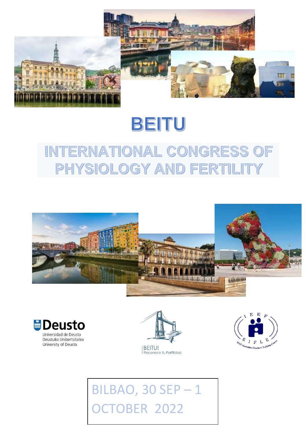

# BEITU

## **INTERNATIONAL CONGRESS OF** PHYSIOLOGY AND FER' TIIL 1









# **BILBAO, 30 SEP-1 CTOBER 2022**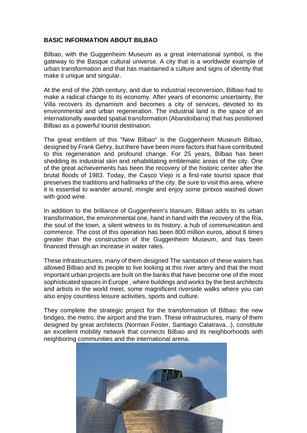### **BASIC INFORMATION ABOUT BILBAO**

Bilbao, with the Guggenheim Museum as a great international symbol, is the gateway to the Basque cultural universe. A city that is a worldwide example of urban transformation and that has maintained a culture and signs of identity that make it unique and singular.

At the end of the 20th century, and due to industrial reconversion, Bilbao had to make a radical change to its economy. After years of economic uncertainty, the Villa recovers its dynamism and becomes a city of services, devoted to its environmental and urban regeneration. The industrial land is the space of an internationally awarded spatial transformation (Abandoibarra) that has positioned Bilbao as a powerful tourist destination.

The great emblem of this "New Bilbao" is the Guggenheim Museum Bilbao, designed by Frank Gehry, but there have been more factors that have contributed to this regeneration and profound change. For 25 years, Bilbao has been shedding its industrial skin and rehabilitating emblematic areas of the city. One of the great achievements has been the recovery of the historic center after the brutal floods of 1983. Today, the Casco Viejo is a first-rate tourist space that preserves the traditions and hallmarks of the city. Be sure to visit this area, where it is essential to wander around, mingle and enjoy some pintxos washed down with good wine.

In addition to the brilliance of Guggenheim's titanium, Bilbao adds to its urban transformation, the environmental one, hand in hand with the recovery of the Ría, the soul of the town, a silent witness to its history, a hub of communication and commerce. The cost of this operation has been 800 million euros, about 6 times greater than the construction of the Guggenheim Museum, and has been financed through an increase in water rates.

These infrastructures, many of them designed The sanitation of these waters has allowed Bilbao and its people to live looking at this river artery and that the most important urban projects are built on the banks that have become one of the most sophisticated spaces in Europe , where buildings and works by the best architects and artists in the world meet, some magnificent riverside walks where you can also enjoy countless leisure activities, sports and culture.

They complete the strategic project for the transformation of Bilbao: the new bridges, the metro, the airport and the tram. These infrastructures, many of them designed by great architects (Norman Foster, Santiago Calatrava...), constitute an excellent mobility network that connects Bilbao and its neighborhoods with neighboring communities and the international arena.

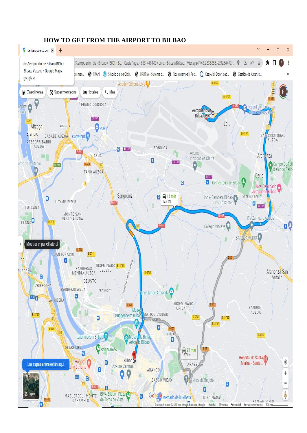

### **HOW TO GET FROM THE AIRPORT TO BILBAO**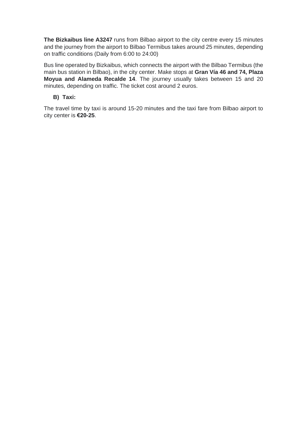**The Bizkaibus line A3247** runs from Bilbao airport to the city centre every 15 minutes and the journey from the airport to Bilbao Termibus takes around 25 minutes, depending on traffic conditions (Daily from 6:00 to 24:00)

Bus line operated by Bizkaibus, which connects the airport with the Bilbao Termibus (the main bus station in Bilbao), in the city center. Make stops at **Gran Vía 46 and 74, Plaza Moyua and Alameda Recalde 14**. The journey usually takes between 15 and 20 minutes, depending on traffic. The ticket cost around 2 euros.

#### **B) Taxi:**

The travel time by taxi is around 15-20 minutes and the taxi fare from Bilbao airport to city center is **€20-25**.